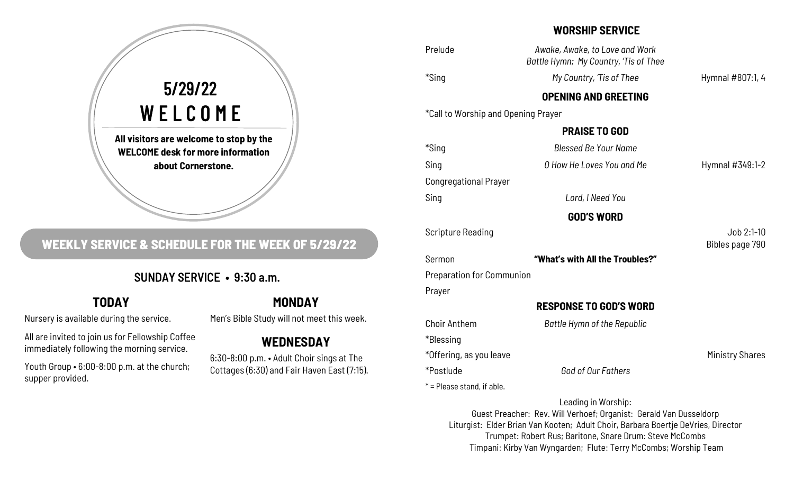

# **WEEKLY SERVICE & SCHEDULE FOR THE WEEK OF 5/29/22**

## SUNDAY SERVICE • 9:30 a.m.

## **TODAY**

Nursery is available during the service.

All are invited to join us for Fellowship Coffee immediately following the morning service.

Youth Group • 6:00-8:00 p.m. at the church; supper provided.

#### **MONDAY**

Men's Bible Study will not meet this week.

## **WEDNESDAY**

6:30-8:00 p.m. • Adult Choir sings at The Cottages (6:30) and Fair Haven East (7:15).

#### **WORSHIP SERVICE**

| Prelude                             | Awake, Awake, to Love and Work<br>Battle Hymn; My Country, 'Tis of Thee                                                                                                        |                        |
|-------------------------------------|--------------------------------------------------------------------------------------------------------------------------------------------------------------------------------|------------------------|
| *Sing                               | My Country, 'Tis of Thee                                                                                                                                                       | Hymnal #807:1, 4       |
|                                     | <b>OPENING AND GREETING</b>                                                                                                                                                    |                        |
| *Call to Worship and Opening Prayer |                                                                                                                                                                                |                        |
|                                     | <b>PRAISE TO GOD</b>                                                                                                                                                           |                        |
| *Sing                               | <b>Blessed Be Your Name</b>                                                                                                                                                    |                        |
| Sing                                | O How He Loves You and Me                                                                                                                                                      | Hymnal #349:1-2        |
| <b>Congregational Prayer</b>        |                                                                                                                                                                                |                        |
| Sing                                | Lord, I Need You                                                                                                                                                               |                        |
|                                     | <b>GOD'S WORD</b>                                                                                                                                                              |                        |
| <b>Scripture Reading</b>            |                                                                                                                                                                                | Job 2:1-10             |
|                                     |                                                                                                                                                                                | Bibles page 790        |
| Sermon                              | "What's with All the Troubles?"                                                                                                                                                |                        |
| <b>Preparation for Communion</b>    |                                                                                                                                                                                |                        |
| Prayer                              |                                                                                                                                                                                |                        |
|                                     | <b>RESPONSE TO GOD'S WORD</b>                                                                                                                                                  |                        |
| <b>Choir Anthem</b>                 | Battle Hymn of the Republic                                                                                                                                                    |                        |
| *Blessing                           |                                                                                                                                                                                |                        |
| *Offering, as you leave             |                                                                                                                                                                                | <b>Ministry Shares</b> |
| *Postlude                           | God of Our Fathers                                                                                                                                                             |                        |
| * = Please stand, if able.          |                                                                                                                                                                                |                        |
|                                     | Leading in Worship:<br>Guest Preacher: Rev. Will Verhoef; Organist: Gerald Van Dusseldorp<br>Liturgist: Elder Brian Van Kooten; Adult Choir, Barbara Boertje DeVries, Director |                        |

Trumpet: Robert Rus; Baritone, Snare Drum: Steve McCombs Timpani: Kirby Van Wyngarden; Flute: Terry McCombs; Worship Team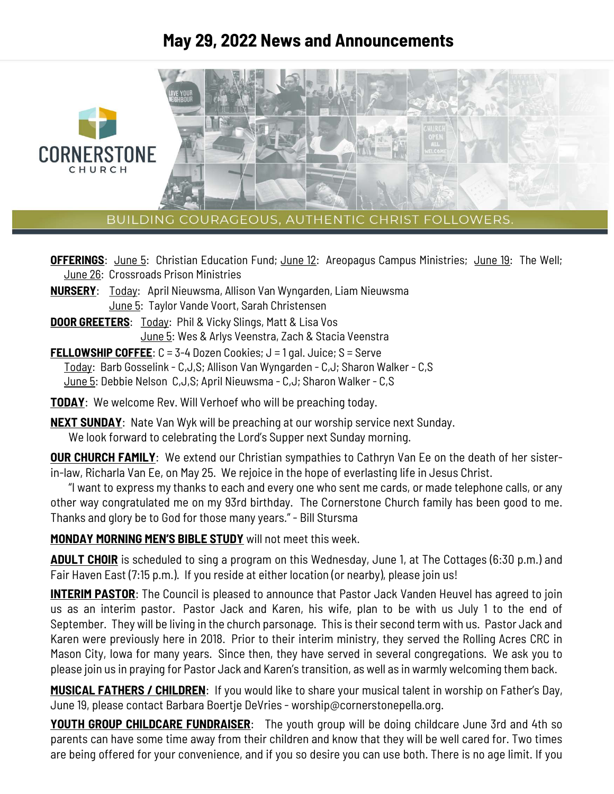# **May 29, 2022 News and Announcements**



BUILDING COURAGEOUS, AUTHENTIC CHRIST FOLLOWERS.

**OFFERINGS:** June 5: Christian Education Fund; June 12: Areopagus Campus Ministries; June 19: The Well; June 26: Crossroads Prison Ministries

- **NURSERY**: Today: April Nieuwsma, Allison Van Wyngarden, Liam Nieuwsma June 5: Taylor Vande Voort, Sarah Christensen
- **DOOR GREETERS:** Today: Phil & Vicky Slings, Matt & Lisa Vos June 5: Wes & Arlys Veenstra, Zach & Stacia Veenstra

**FELLOWSHIP COFFEE**: C = 3-4 Dozen Cookies; J = 1 gal. Juice; S = Serve Today: Barb Gosselink - C,J,S; Allison Van Wyngarden - C,J; Sharon Walker - C,S June 5: Debbie Nelson C,J,S; April Nieuwsma - C,J; Sharon Walker - C,S

**TODAY**: We welcome Rev. Will Verhoef who will be preaching today.

**NEXT SUNDAY**: Nate Van Wyk will be preaching at our worship service next Sunday. We look forward to celebrating the Lord's Supper next Sunday morning.

**OUR CHURCH FAMILY**: We extend our Christian sympathies to Cathryn Van Ee on the death of her sisterin-law, Richarla Van Ee, on May 25. We rejoice in the hope of everlasting life in Jesus Christ.

 "I want to express my thanks to each and every one who sent me cards, or made telephone calls, or any other way congratulated me on my 93rd birthday. The Cornerstone Church family has been good to me. Thanks and glory be to God for those many years." - Bill Stursma

**MONDAY MORNING MEN'S BIBLE STUDY** will not meet this week.

**ADULT CHOIR** is scheduled to sing a program on this Wednesday, June 1, at The Cottages (6:30 p.m.) and Fair Haven East (7:15 p.m.). If you reside at either location (or nearby), please join us!

**INTERIM PASTOR:** The Council is pleased to announce that Pastor Jack Vanden Heuvel has agreed to join us as an interim pastor. Pastor Jack and Karen, his wife, plan to be with us July 1 to the end of September. They will be living in the church parsonage. This is their second term with us. Pastor Jack and Karen were previously here in 2018. Prior to their interim ministry, they served the Rolling Acres CRC in Mason City, Iowa for many years. Since then, they have served in several congregations. We ask you to please join us in praying for Pastor Jack and Karen's transition, as well as in warmly welcoming them back.

**MUSICAL FATHERS / CHILDREN**: If you would like to share your musical talent in worship on Father's Day, June 19, please contact Barbara Boertje DeVries - worship@cornerstonepella.org.

**YOUTH GROUP CHILDCARE FUNDRAISER:** The youth group will be doing childcare June 3rd and 4th so parents can have some time away from their children and know that they will be well cared for. Two times are being offered for your convenience, and if you so desire you can use both. There is no age limit. If you